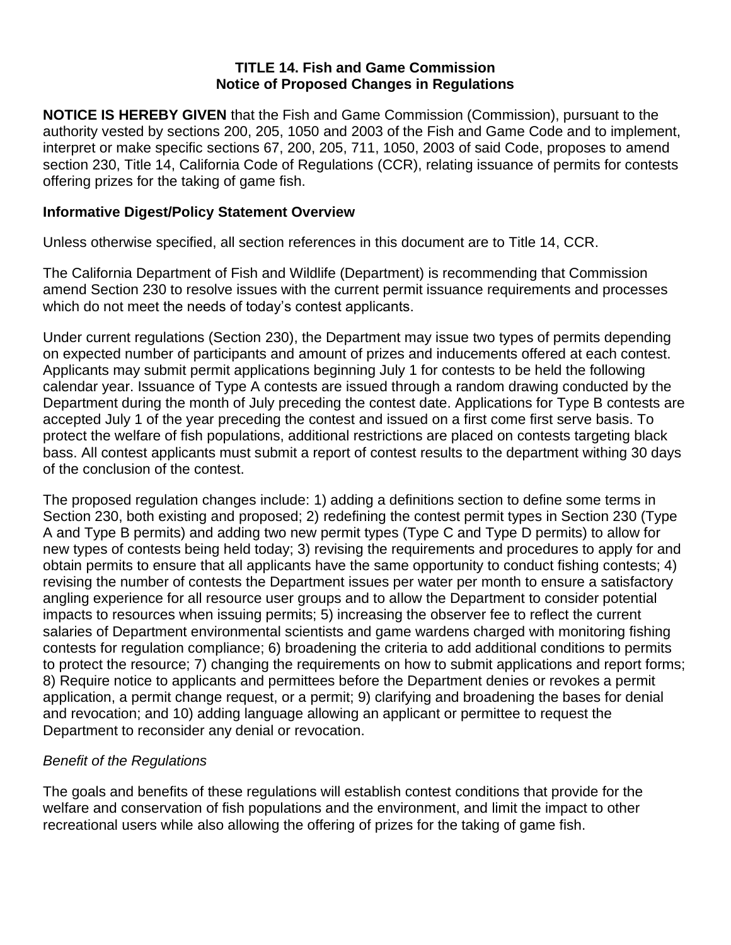# **TITLE 14. Fish and Game Commission Notice of Proposed Changes in Regulations**

**NOTICE IS HEREBY GIVEN** that the Fish and Game Commission (Commission), pursuant to the authority vested by sections 200, 205, 1050 and 2003 of the Fish and Game Code and to implement, interpret or make specific sections 67, 200, 205, 711, 1050, 2003 of said Code, proposes to amend section 230, Title 14, California Code of Regulations (CCR), relating issuance of permits for contests offering prizes for the taking of game fish.

# **Informative Digest/Policy Statement Overview**

Unless otherwise specified, all section references in this document are to Title 14, CCR.

The California Department of Fish and Wildlife (Department) is recommending that Commission amend Section 230 to resolve issues with the current permit issuance requirements and processes which do not meet the needs of today's contest applicants.

Under current regulations (Section 230), the Department may issue two types of permits depending on expected number of participants and amount of prizes and inducements offered at each contest. Applicants may submit permit applications beginning July 1 for contests to be held the following calendar year. Issuance of Type A contests are issued through a random drawing conducted by the Department during the month of July preceding the contest date. Applications for Type B contests are accepted July 1 of the year preceding the contest and issued on a first come first serve basis. To protect the welfare of fish populations, additional restrictions are placed on contests targeting black bass. All contest applicants must submit a report of contest results to the department withing 30 days of the conclusion of the contest.

The proposed regulation changes include: 1) adding a definitions section to define some terms in Section 230, both existing and proposed; 2) redefining the contest permit types in Section 230 (Type A and Type B permits) and adding two new permit types (Type C and Type D permits) to allow for new types of contests being held today; 3) revising the requirements and procedures to apply for and obtain permits to ensure that all applicants have the same opportunity to conduct fishing contests; 4) revising the number of contests the Department issues per water per month to ensure a satisfactory angling experience for all resource user groups and to allow the Department to consider potential impacts to resources when issuing permits; 5) increasing the observer fee to reflect the current salaries of Department environmental scientists and game wardens charged with monitoring fishing contests for regulation compliance; 6) broadening the criteria to add additional conditions to permits to protect the resource; 7) changing the requirements on how to submit applications and report forms; 8) Require notice to applicants and permittees before the Department denies or revokes a permit application, a permit change request, or a permit; 9) clarifying and broadening the bases for denial and revocation; and 10) adding language allowing an applicant or permittee to request the Department to reconsider any denial or revocation.

# *Benefit of the Regulations*

The goals and benefits of these regulations will establish contest conditions that provide for the welfare and conservation of fish populations and the environment, and limit the impact to other recreational users while also allowing the offering of prizes for the taking of game fish.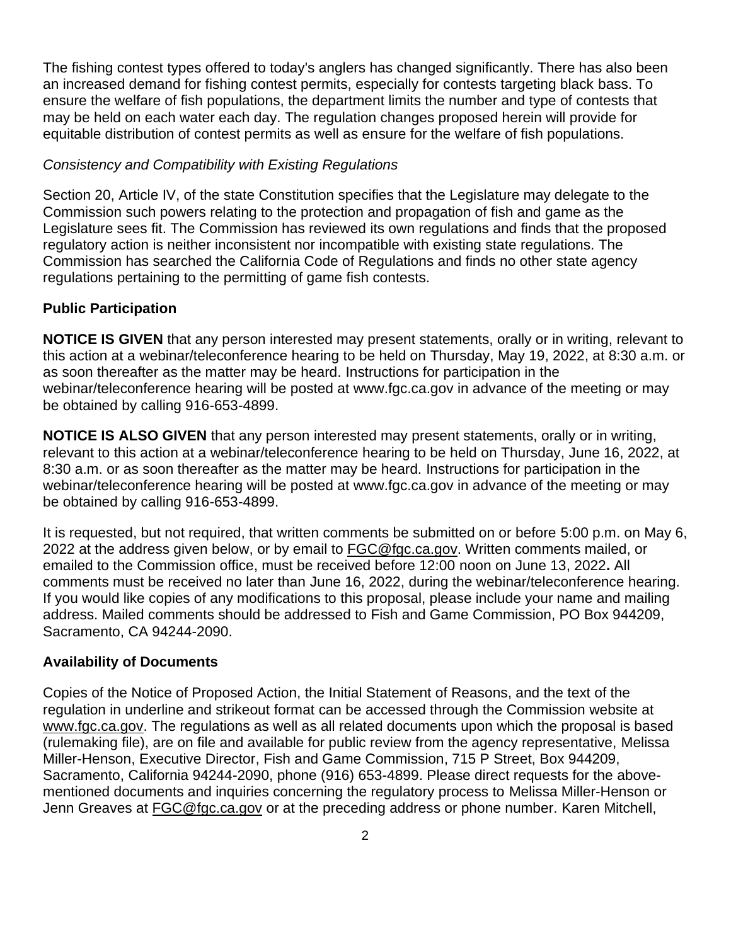The fishing contest types offered to today's anglers has changed significantly. There has also been an increased demand for fishing contest permits, especially for contests targeting black bass. To ensure the welfare of fish populations, the department limits the number and type of contests that may be held on each water each day. The regulation changes proposed herein will provide for equitable distribution of contest permits as well as ensure for the welfare of fish populations.

#### *Consistency and Compatibility with Existing Regulations*

Section 20, Article IV, of the state Constitution specifies that the Legislature may delegate to the Commission such powers relating to the protection and propagation of fish and game as the Legislature sees fit. The Commission has reviewed its own regulations and finds that the proposed regulatory action is neither inconsistent nor incompatible with existing state regulations. The Commission has searched the California Code of Regulations and finds no other state agency regulations pertaining to the permitting of game fish contests.

### **Public Participation**

**NOTICE IS GIVEN** that any person interested may present statements, orally or in writing, relevant to this action at a webinar/teleconference hearing to be held on Thursday, May 19, 2022, at 8:30 a.m. or as soon thereafter as the matter may be heard. Instructions for participation in the webinar/teleconference hearing will be posted at www.fgc.ca.gov in advance of the meeting or may be obtained by calling 916-653-4899.

**NOTICE IS ALSO GIVEN** that any person interested may present statements, orally or in writing, relevant to this action at a webinar/teleconference hearing to be held on Thursday, June 16, 2022, at 8:30 a.m. or as soon thereafter as the matter may be heard. Instructions for participation in the webinar/teleconference hearing will be posted at www.fgc.ca.gov in advance of the meeting or may be obtained by calling 916-653-4899.

It is requested, but not required, that written comments be submitted on or before 5:00 p.m. on May 6, 2022 at the address given below, or by email to **FGC@fgc.ca.gov**. Written comments mailed, or emailed to the Commission office, must be received before 12:00 noon on June 13, 2022**.** All comments must be received no later than June 16, 2022, during the webinar/teleconference hearing. If you would like copies of any modifications to this proposal, please include your name and mailing address. Mailed comments should be addressed to Fish and Game Commission, PO Box 944209, Sacramento, CA 94244-2090.

#### **Availability of Documents**

Copies of the Notice of Proposed Action, the Initial Statement of Reasons, and the text of the regulation in underline and strikeout format can be accessed through the Commission website at [www.fgc.ca.gov.](http://www.fgc.ca.gov/) The regulations as well as all related documents upon which the proposal is based (rulemaking file), are on file and available for public review from the agency representative, Melissa Miller-Henson, Executive Director, Fish and Game Commission, 715 P Street, Box 944209, Sacramento, California 94244-2090, phone (916) 653-4899. Please direct requests for the abovementioned documents and inquiries concerning the regulatory process to Melissa Miller-Henson or Jenn Greaves at [FGC@fgc.ca.gov](mailto:FGC@fgc.ca.gov) or at the preceding address or phone number. Karen Mitchell,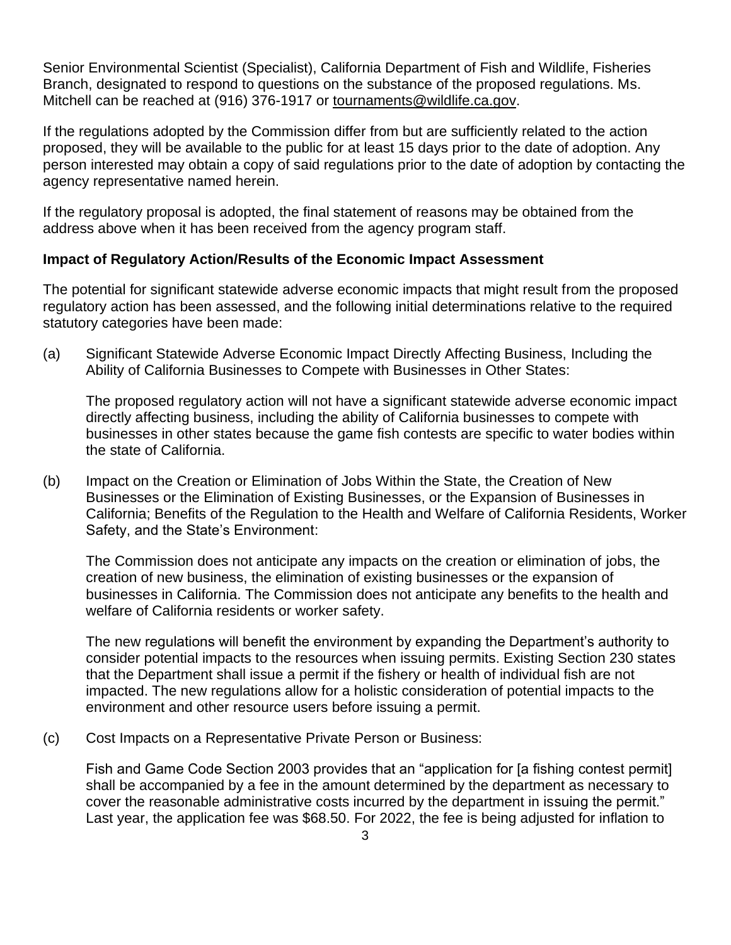Senior Environmental Scientist (Specialist), California Department of Fish and Wildlife, Fisheries Branch, designated to respond to questions on the substance of the proposed regulations. Ms. Mitchell can be reached at (916) 376-1917 or [tournaments@wildlife.ca.gov.](file://///ad.dfg.ca.gov/pangea/Fish%20and%20Game%20Commission/Reg%20Program/O%20A%20L/2022%20Rulemaking/Fishing%20Contests%20(JG)/Drafts%20and%20Word%20versions/tournaments@wildlife.ca.gov)

If the regulations adopted by the Commission differ from but are sufficiently related to the action proposed, they will be available to the public for at least 15 days prior to the date of adoption. Any person interested may obtain a copy of said regulations prior to the date of adoption by contacting the agency representative named herein.

If the regulatory proposal is adopted, the final statement of reasons may be obtained from the address above when it has been received from the agency program staff.

## **Impact of Regulatory Action/Results of the Economic Impact Assessment**

The potential for significant statewide adverse economic impacts that might result from the proposed regulatory action has been assessed, and the following initial determinations relative to the required statutory categories have been made:

(a) Significant Statewide Adverse Economic Impact Directly Affecting Business, Including the Ability of California Businesses to Compete with Businesses in Other States:

The proposed regulatory action will not have a significant statewide adverse economic impact directly affecting business, including the ability of California businesses to compete with businesses in other states because the game fish contests are specific to water bodies within the state of California.

(b) Impact on the Creation or Elimination of Jobs Within the State, the Creation of New Businesses or the Elimination of Existing Businesses, or the Expansion of Businesses in California; Benefits of the Regulation to the Health and Welfare of California Residents, Worker Safety, and the State's Environment:

The Commission does not anticipate any impacts on the creation or elimination of jobs, the creation of new business, the elimination of existing businesses or the expansion of businesses in California. The Commission does not anticipate any benefits to the health and welfare of California residents or worker safety.

The new regulations will benefit the environment by expanding the Department's authority to consider potential impacts to the resources when issuing permits. Existing Section 230 states that the Department shall issue a permit if the fishery or health of individual fish are not impacted. The new regulations allow for a holistic consideration of potential impacts to the environment and other resource users before issuing a permit.

(c) Cost Impacts on a Representative Private Person or Business:

Fish and Game Code Section 2003 provides that an "application for [a fishing contest permit] shall be accompanied by a fee in the amount determined by the department as necessary to cover the reasonable administrative costs incurred by the department in issuing the permit." Last year, the application fee was \$68.50. For 2022, the fee is being adjusted for inflation to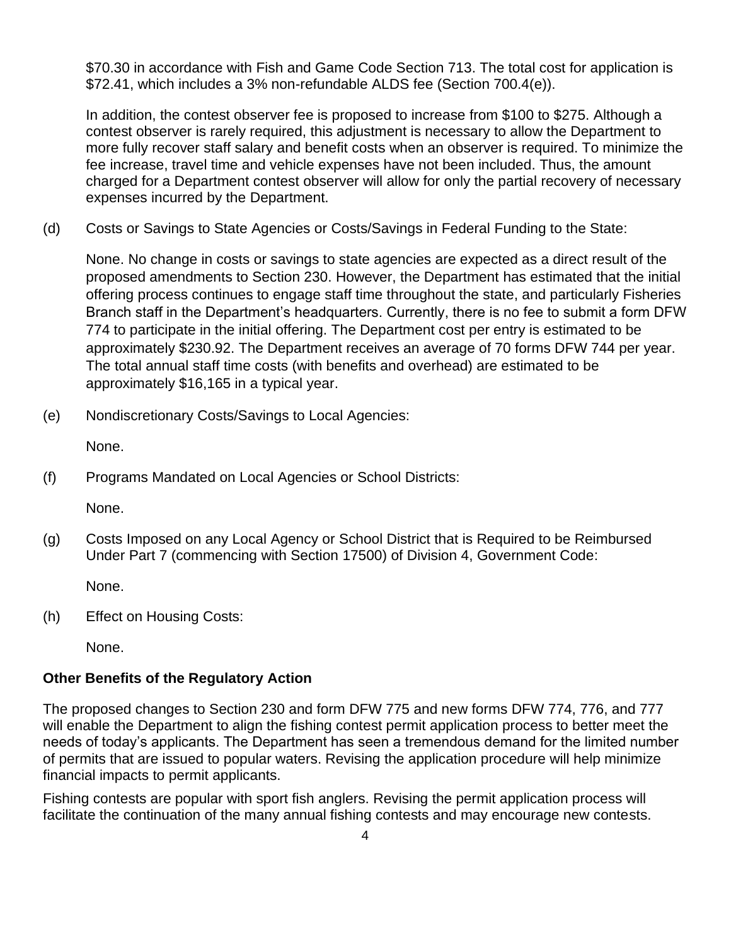\$70.30 in accordance with Fish and Game Code Section 713. The total cost for application is \$72.41, which includes a 3% non-refundable ALDS fee (Section 700.4(e)).

In addition, the contest observer fee is proposed to increase from \$100 to \$275. Although a contest observer is rarely required, this adjustment is necessary to allow the Department to more fully recover staff salary and benefit costs when an observer is required. To minimize the fee increase, travel time and vehicle expenses have not been included. Thus, the amount charged for a Department contest observer will allow for only the partial recovery of necessary expenses incurred by the Department.

(d) Costs or Savings to State Agencies or Costs/Savings in Federal Funding to the State:

None. No change in costs or savings to state agencies are expected as a direct result of the proposed amendments to Section 230. However, the Department has estimated that the initial offering process continues to engage staff time throughout the state, and particularly Fisheries Branch staff in the Department's headquarters. Currently, there is no fee to submit a form DFW 774 to participate in the initial offering. The Department cost per entry is estimated to be approximately \$230.92. The Department receives an average of 70 forms DFW 744 per year. The total annual staff time costs (with benefits and overhead) are estimated to be approximately \$16,165 in a typical year.

(e) Nondiscretionary Costs/Savings to Local Agencies:

None.

(f) Programs Mandated on Local Agencies or School Districts:

None.

(g) Costs Imposed on any Local Agency or School District that is Required to be Reimbursed Under Part 7 (commencing with Section 17500) of Division 4, Government Code:

None.

(h) Effect on Housing Costs:

None.

#### **Other Benefits of the Regulatory Action**

The proposed changes to Section 230 and form DFW 775 and new forms DFW 774, 776, and 777 will enable the Department to align the fishing contest permit application process to better meet the needs of today's applicants. The Department has seen a tremendous demand for the limited number of permits that are issued to popular waters. Revising the application procedure will help minimize financial impacts to permit applicants.

Fishing contests are popular with sport fish anglers. Revising the permit application process will facilitate the continuation of the many annual fishing contests and may encourage new contests.